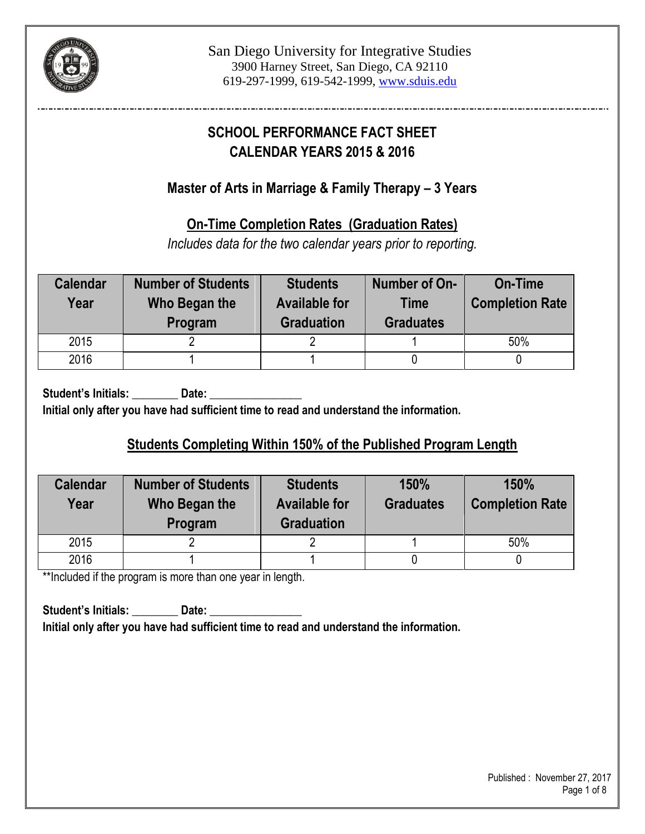

# **SCHOOL PERFORMANCE FACT SHEET CALENDAR YEARS 2015 & 2016**

## **Master of Arts in Marriage & Family Therapy – 3 Years**

## **On-Time Completion Rates (Graduation Rates)**

*Includes data for the two calendar years prior to reporting.*

| <b>Calendar</b><br>Year | <b>Number of Students</b><br>Who Began the<br>Program | <b>Students</b><br><b>Available for</b><br><b>Graduation</b> | Number of On-<br><b>Time</b><br><b>Graduates</b> | On-Time<br><b>Completion Rate</b> |
|-------------------------|-------------------------------------------------------|--------------------------------------------------------------|--------------------------------------------------|-----------------------------------|
| 2015                    |                                                       |                                                              |                                                  | 50%                               |
| 2016                    |                                                       |                                                              |                                                  |                                   |

**Student's Initials: \_\_\_\_\_\_\_\_ Date: \_\_\_\_\_\_\_\_\_\_\_\_\_\_\_\_ Initial only after you have had sufficient time to read and understand the information.**

# **Students Completing Within 150% of the Published Program Length**

| <b>Calendar</b><br>Year | <b>Number of Students</b><br>Who Began the<br>Program | <b>Students</b><br><b>Available for</b><br><b>Graduation</b> |  | 150%<br><b>Completion Rate</b> |
|-------------------------|-------------------------------------------------------|--------------------------------------------------------------|--|--------------------------------|
| 2015                    |                                                       |                                                              |  | 50%                            |
| 2016                    |                                                       |                                                              |  |                                |

\*\*Included if the program is more than one year in length.

**Student's Initials: \_\_\_\_\_\_\_\_ Date: \_\_\_\_\_\_\_\_\_\_\_\_\_\_\_\_ Initial only after you have had sufficient time to read and understand the information.**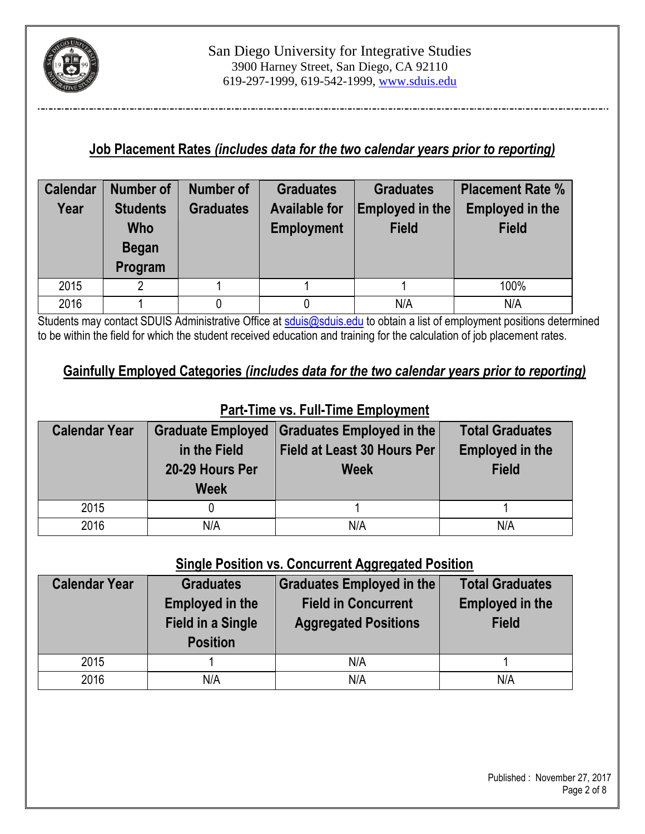

## **Job Placement Rates** *(includes data for the two calendar years prior to reporting)*

| <b>Calendar</b> | <b>Number of</b> | Number of        | <b>Graduates</b>     | <b>Graduates</b> | <b>Placement Rate %</b> |
|-----------------|------------------|------------------|----------------------|------------------|-------------------------|
| Year            | <b>Students</b>  | <b>Graduates</b> | <b>Available for</b> | Employed in the  | <b>Employed in the</b>  |
|                 | <b>Who</b>       |                  | <b>Employment</b>    | <b>Field</b>     | <b>Field</b>            |
|                 | <b>Began</b>     |                  |                      |                  |                         |
|                 | Program          |                  |                      |                  |                         |
| 2015            | 2                |                  |                      |                  | 100%                    |
| 2016            |                  |                  |                      | N/A              | N/A                     |

Students may contact SDUIS Administrative Office at [sduis@sduis.edu](mailto:sduis@sduis.edu) to obtain a list of employment positions determined to be within the field for which the student received education and training for the calculation of job placement rates.

## **Gainfully Employed Categories** *(includes data for the two calendar years prior to reporting)*

| <b>Calendar Year</b> | <b>Graduate Employed</b> | Graduates Employed in the          | <b>Total Graduates</b> |  |  |  |  |
|----------------------|--------------------------|------------------------------------|------------------------|--|--|--|--|
|                      | in the Field             | <b>Field at Least 30 Hours Per</b> | <b>Employed in the</b> |  |  |  |  |
|                      | 20-29 Hours Per          | <b>Week</b>                        | <b>Field</b>           |  |  |  |  |
|                      | <b>Week</b>              |                                    |                        |  |  |  |  |
| 2015                 |                          |                                    |                        |  |  |  |  |
| 2016                 | N/A                      | N/A                                | N/A                    |  |  |  |  |

#### **Part-Time vs. Full-Time Employment**

## **Single Position vs. Concurrent Aggregated Position**

| <b>Calendar Year</b> | <b>Graduates</b>         | Graduates Employed in the   | <b>Total Graduates</b> |  |
|----------------------|--------------------------|-----------------------------|------------------------|--|
|                      | <b>Employed in the</b>   | <b>Field in Concurrent</b>  | <b>Employed in the</b> |  |
|                      | <b>Field in a Single</b> | <b>Aggregated Positions</b> | <b>Field</b>           |  |
|                      | <b>Position</b>          |                             |                        |  |
| 2015                 |                          | N/A                         |                        |  |
| 2016                 | N/A                      | N/A                         | N/A                    |  |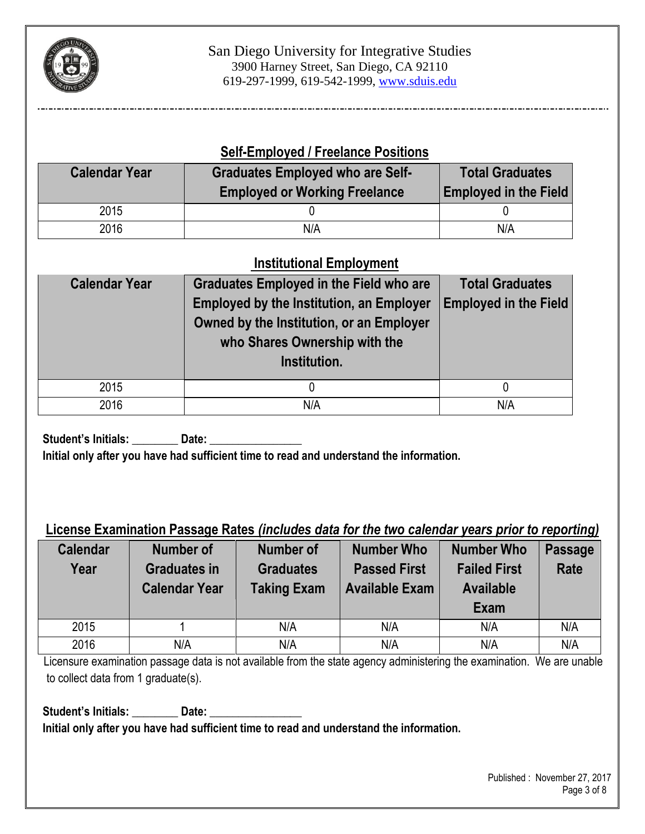

#### **Self-Employed / Freelance Positions**

| <b>Calendar Year</b> | <b>Graduates Employed who are Self-</b><br><b>Employed or Working Freelance</b> | <b>Total Graduates</b><br><b>Employed in the Field</b> |
|----------------------|---------------------------------------------------------------------------------|--------------------------------------------------------|
| 2015                 |                                                                                 |                                                        |
| 2016                 | N/A                                                                             | N/A                                                    |

## **Institutional Employment**

| <b>Calendar Year</b> | <b>Graduates Employed in the Field who are</b><br><b>Employed by the Institution, an Employer</b><br>Owned by the Institution, or an Employer<br>who Shares Ownership with the<br>Institution. | <b>Total Graduates</b><br><b>Employed in the Field</b> |
|----------------------|------------------------------------------------------------------------------------------------------------------------------------------------------------------------------------------------|--------------------------------------------------------|
| 2015                 |                                                                                                                                                                                                | 0                                                      |
| 2016                 | N/A                                                                                                                                                                                            | N/A                                                    |

Student's Initials: **Date: Initial only after you have had sufficient time to read and understand the information.**

#### **License Examination Passage Rates** *(includes data for the two calendar years prior to reporting)*

| <b>Calendar</b><br>Year | <b>Number of</b><br><b>Graduates in</b><br><b>Calendar Year</b> | <b>Number of</b><br><b>Graduates</b><br><b>Taking Exam</b> | <b>Number Who</b><br><b>Passed First</b><br><b>Available Exam</b> | <b>Number Who</b><br><b>Failed First</b><br><b>Available</b><br>Exam | <b>Passage</b><br><b>Rate</b> |
|-------------------------|-----------------------------------------------------------------|------------------------------------------------------------|-------------------------------------------------------------------|----------------------------------------------------------------------|-------------------------------|
| 2015                    |                                                                 | N/A                                                        | N/A                                                               | N/A                                                                  | N/A                           |
| 2016                    | N/A                                                             | N/A                                                        | N/A                                                               | N/A                                                                  | N/A                           |

Licensure examination passage data is not available from the state agency administering the examination. We are unable to collect data from 1 graduate(s).

**Student's Initials: \_\_\_\_\_\_\_\_ Date: \_\_\_\_\_\_\_\_\_\_\_\_\_\_\_\_ Initial only after you have had sufficient time to read and understand the information.**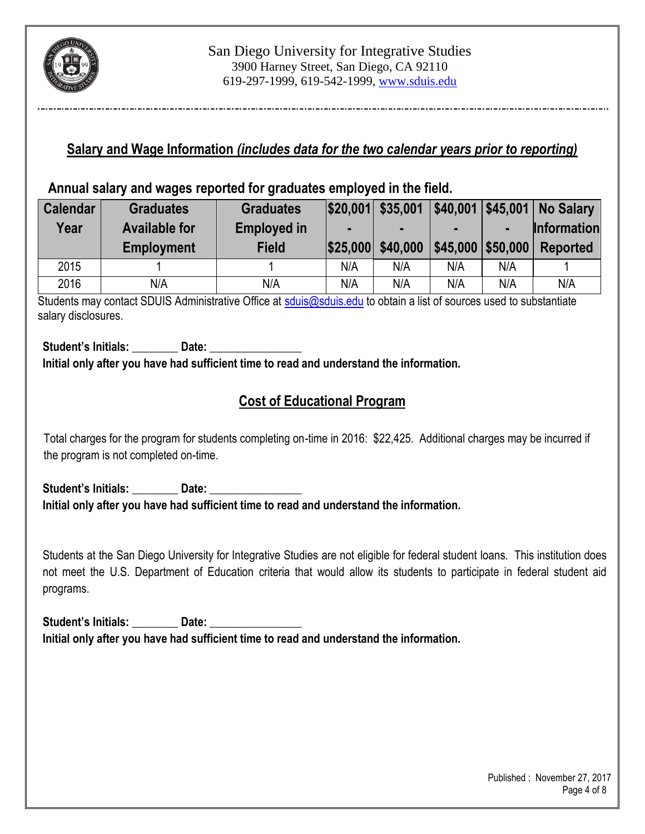

#### **Salary and Wage Information** *(includes data for the two calendar years prior to reporting)*

#### **Annual salary and wages reported for graduates employed in the field.**

| <b>Calendar</b> | <b>Graduates</b>     | <b>Graduates</b>   |     | $ $20,001 $ \$35,001 | \$40,001 |                             | <b>\$45,001 No Salary</b> |
|-----------------|----------------------|--------------------|-----|----------------------|----------|-----------------------------|---------------------------|
| Year            | <b>Available for</b> | <b>Employed in</b> |     | -                    |          |                             | <b>Information</b>        |
|                 | <b>Employment</b>    | <b>Field</b>       |     | \$25,000 \$40,000    |          | $$45,000$ $$50,000$ $\vert$ | Reported                  |
| 2015            |                      |                    | N/A | N/A                  | N/A      | N/A                         |                           |
| 2016            | N/A                  | N/A                | N/A | N/A                  | N/A      | N/A                         | N/A                       |

Students may contact SDUIS Administrative Office at [sduis@sduis.edu](mailto:sduis@sduis.edu) to obtain a list of sources used to substantiate salary disclosures.

Student's Initials: **Date: Initial only after you have had sufficient time to read and understand the information.**

## **Cost of Educational Program**

 Total charges for the program for students completing on-time in 2016: \$22,425. Additional charges may be incurred if the program is not completed on-time.

Student's Initials: **Date: Initial only after you have had sufficient time to read and understand the information.**

Students at the San Diego University for Integrative Studies are not eligible for federal student loans. This institution does not meet the U.S. Department of Education criteria that would allow its students to participate in federal student aid programs.

Student's Initials: **Date:** Date: **Initial only after you have had sufficient time to read and understand the information.**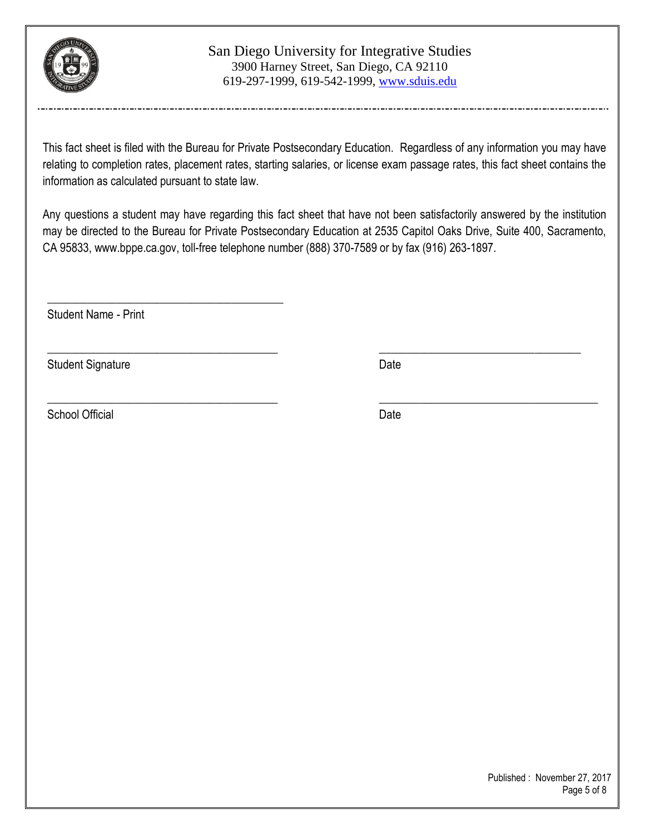

#### San Diego University for Integrative Studies 3900 Harney Street, San Diego, CA 92110 619-297-1999, 619-542-1999, www.sduis.edu

This fact sheet is filed with the Bureau for Private Postsecondary Education. Regardless of any information you may have relating to completion rates, placement rates, starting salaries, or license exam passage rates, this fact sheet contains the information as calculated pursuant to state law.

Any questions a student may have regarding this fact sheet that have not been satisfactorily answered by the institution may be directed to the Bureau for Private Postsecondary Education at 2535 Capitol Oaks Drive, Suite 400, Sacramento, CA 95833[, www.bppe.ca.gov,](http://www.bppe.ca.gov/) toll-free telephone number (888) 370-7589 or by fax (916) 263-1897.

\_\_\_\_\_\_\_\_\_\_\_\_\_\_\_\_\_\_\_\_\_\_\_\_\_\_\_\_\_\_\_\_\_\_\_\_\_\_\_\_ \_\_\_\_\_\_\_\_\_\_\_\_\_\_\_\_\_\_\_\_\_\_\_\_\_\_\_\_\_\_\_\_\_\_\_

\_\_\_\_\_\_\_\_\_\_\_\_\_\_\_\_\_\_\_\_\_\_\_\_\_\_\_\_\_\_\_\_\_\_\_\_\_\_\_\_ \_\_\_\_\_\_\_\_\_\_\_\_\_\_\_\_\_\_\_\_\_\_\_\_\_\_\_\_\_\_\_\_\_\_\_\_\_\_

Student Name - Print

\_\_\_\_\_\_\_\_\_\_\_\_\_\_\_\_\_\_\_\_\_\_\_\_\_\_\_\_\_\_\_\_\_\_\_\_\_\_\_\_\_

Student Signature Date Date

School Official Date Date Date Date Date Date Date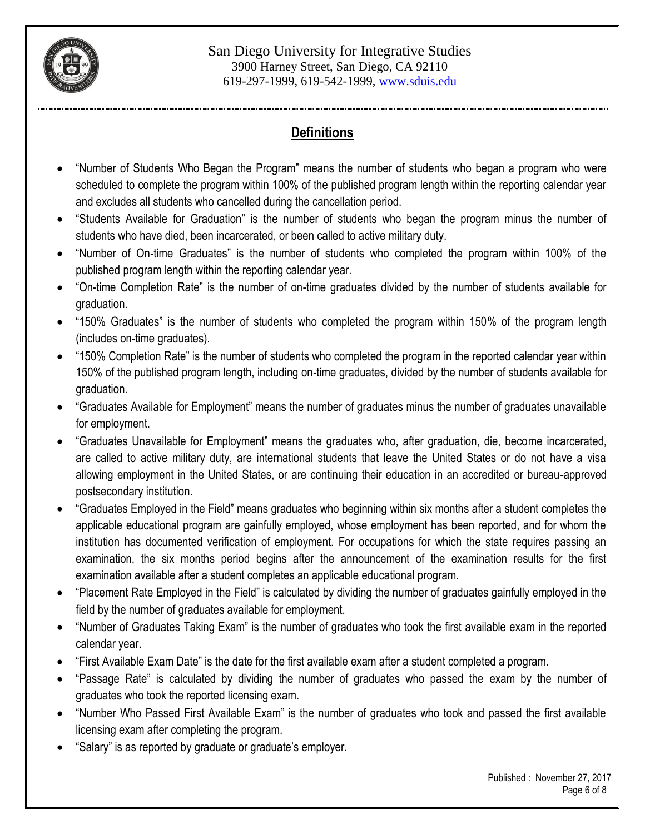

## **Definitions**

- "Number of Students Who Began the Program" means the number of students who began a program who were scheduled to complete the program within 100% of the published program length within the reporting calendar year and excludes all students who cancelled during the cancellation period.
- "Students Available for Graduation" is the number of students who began the program minus the number of students who have died, been incarcerated, or been called to active military duty.
- "Number of On-time Graduates" is the number of students who completed the program within 100% of the published program length within the reporting calendar year.
- "On-time Completion Rate" is the number of on-time graduates divided by the number of students available for graduation.
- "150% Graduates" is the number of students who completed the program within 150% of the program length (includes on-time graduates).
- "150% Completion Rate" is the number of students who completed the program in the reported calendar year within 150% of the published program length, including on-time graduates, divided by the number of students available for graduation.
- "Graduates Available for Employment" means the number of graduates minus the number of graduates unavailable for employment.
- "Graduates Unavailable for Employment" means the graduates who, after graduation, die, become incarcerated, are called to active military duty, are international students that leave the United States or do not have a visa allowing employment in the United States, or are continuing their education in an accredited or bureau-approved postsecondary institution.
- "Graduates Employed in the Field" means graduates who beginning within six months after a student completes the applicable educational program are gainfully employed, whose employment has been reported, and for whom the institution has documented verification of employment. For occupations for which the state requires passing an examination, the six months period begins after the announcement of the examination results for the first examination available after a student completes an applicable educational program.
- "Placement Rate Employed in the Field" is calculated by dividing the number of graduates gainfully employed in the field by the number of graduates available for employment.
- "Number of Graduates Taking Exam" is the number of graduates who took the first available exam in the reported calendar year.
- "First Available Exam Date" is the date for the first available exam after a student completed a program.
- "Passage Rate" is calculated by dividing the number of graduates who passed the exam by the number of graduates who took the reported licensing exam.
- "Number Who Passed First Available Exam" is the number of graduates who took and passed the first available licensing exam after completing the program.
- "Salary" is as reported by graduate or graduate's employer.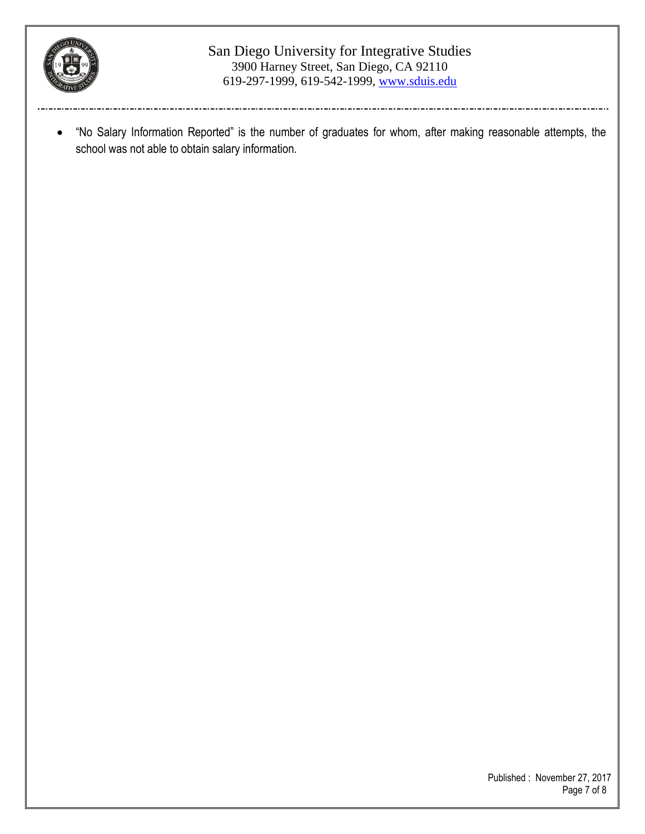

#### San Diego University for Integrative Studies 3900 Harney Street, San Diego, CA 92110 619-297-1999, 619-542-1999, www.sduis.edu

 "No Salary Information Reported" is the number of graduates for whom, after making reasonable attempts, the school was not able to obtain salary information.